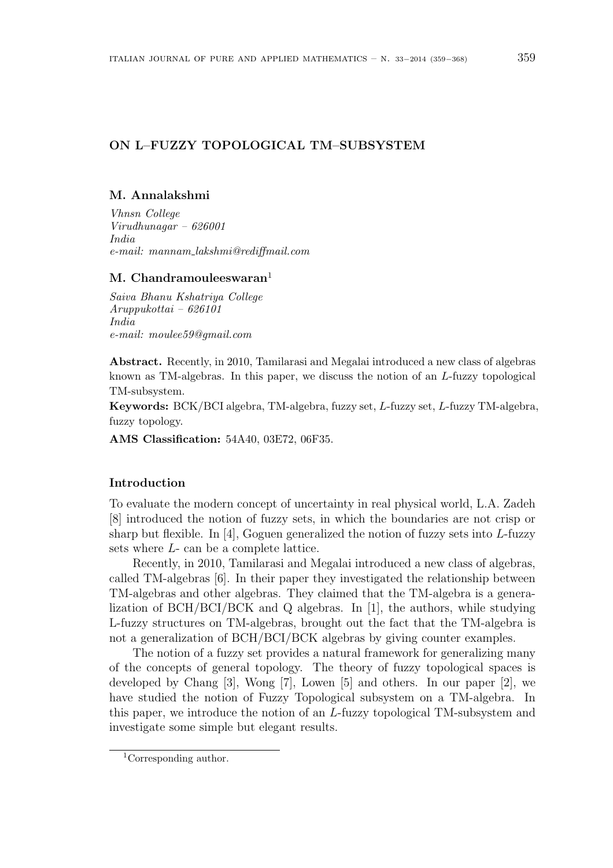# ON L–FUZZY TOPOLOGICAL TM–SUBSYSTEM

### M. Annalakshmi

Vhnsn College Virudhunagar – 626001 India e-mail: mannam lakshmi@rediffmail.com

## M. Chandramouleeswaran $<sup>1</sup>$ </sup>

Saiva Bhanu Kshatriya College Aruppukottai – 626101 India e-mail: moulee59@gmail.com

Abstract. Recently, in 2010, Tamilarasi and Megalai introduced a new class of algebras known as TM-algebras. In this paper, we discuss the notion of an L-fuzzy topological TM-subsystem.

Keywords: BCK/BCI algebra, TM-algebra, fuzzy set, L-fuzzy set, L-fuzzy TM-algebra, fuzzy topology.

AMS Classification: 54A40, 03E72, 06F35.

### Introduction

To evaluate the modern concept of uncertainty in real physical world, L.A. Zadeh [8] introduced the notion of fuzzy sets, in which the boundaries are not crisp or sharp but flexible. In  $[4]$ , Goguen generalized the notion of fuzzy sets into L-fuzzy sets where L- can be a complete lattice.

Recently, in 2010, Tamilarasi and Megalai introduced a new class of algebras, called TM-algebras [6]. In their paper they investigated the relationship between TM-algebras and other algebras. They claimed that the TM-algebra is a generalization of BCH/BCI/BCK and Q algebras. In [1], the authors, while studying L-fuzzy structures on TM-algebras, brought out the fact that the TM-algebra is not a generalization of BCH/BCI/BCK algebras by giving counter examples.

The notion of a fuzzy set provides a natural framework for generalizing many of the concepts of general topology. The theory of fuzzy topological spaces is developed by Chang [3], Wong [7], Lowen [5] and others. In our paper [2], we have studied the notion of Fuzzy Topological subsystem on a TM-algebra. In this paper, we introduce the notion of an L-fuzzy topological TM-subsystem and investigate some simple but elegant results.

<sup>1</sup>Corresponding author.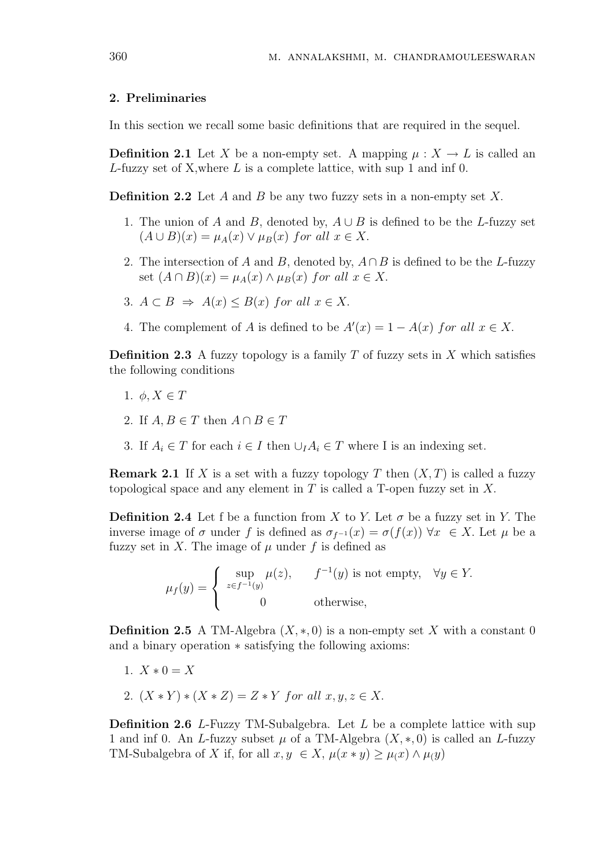### 2. Preliminaries

In this section we recall some basic definitions that are required in the sequel.

**Definition 2.1** Let X be a non-empty set. A mapping  $\mu : X \to L$  is called an  $L$ -fuzzy set of X, where  $L$  is a complete lattice, with sup 1 and inf 0.

**Definition 2.2** Let A and B be any two fuzzy sets in a non-empty set X.

- 1. The union of A and B, denoted by,  $A \cup B$  is defined to be the L-fuzzy set  $(A \cup B)(x) = \mu_A(x) \vee \mu_B(x)$  for all  $x \in X$ .
- 2. The intersection of A and B, denoted by,  $A \cap B$  is defined to be the L-fuzzy set  $(A \cap B)(x) = \mu_A(x) \wedge \mu_B(x)$  for all  $x \in X$ .
- 3.  $A \subset B \Rightarrow A(x) \leq B(x)$  for all  $x \in X$ .
- 4. The complement of A is defined to be  $A'(x) = 1 A(x)$  for all  $x \in X$ .

**Definition 2.3** A fuzzy topology is a family T of fuzzy sets in X which satisfies the following conditions

- 1.  $\phi, X \in T$
- 2. If  $A, B \in T$  then  $A \cap B \in T$
- 3. If  $A_i \in T$  for each  $i \in I$  then  $\cup_I A_i \in T$  where I is an indexing set.

**Remark 2.1** If X is a set with a fuzzy topology T then  $(X, T)$  is called a fuzzy topological space and any element in  $T$  is called a T-open fuzzy set in  $X$ .

**Definition 2.4** Let f be a function from X to Y. Let  $\sigma$  be a fuzzy set in Y. The inverse image of  $\sigma$  under f is defined as  $\sigma_{f^{-1}}(x) = \sigma(f(x)) \,\forall x \in X$ . Let  $\mu$  be a fuzzy set in X. The image of  $\mu$  under f is defined as

> $\mu_f(y) =$  $\overline{a}$  $\sqrt{ }$  $\mathcal{L}$ sup  $z \in f^{-1}(y)$  $\mu(z)$ ,  $f^{-1}(y)$  is not empty,  $\forall y \in Y$ . 0 otherwise,

**Definition 2.5** A TM-Algebra  $(X, *, 0)$  is a non-empty set X with a constant 0 and a binary operation ∗ satisfying the following axioms:

- 1.  $X * 0 = X$
- 2.  $(X * Y) * (X * Z) = Z * Y$  for all  $x, y, z \in X$ .

**Definition 2.6** L-Fuzzy TM-Subalgebra. Let  $L$  be a complete lattice with sup 1 and inf 0. An L-fuzzy subset  $\mu$  of a TM-Algebra  $(X, \ast, 0)$  is called an L-fuzzy TM-Subalgebra of X if, for all  $x, y \in X$ ,  $\mu(x * y) \geq \mu(x) \wedge \mu(y)$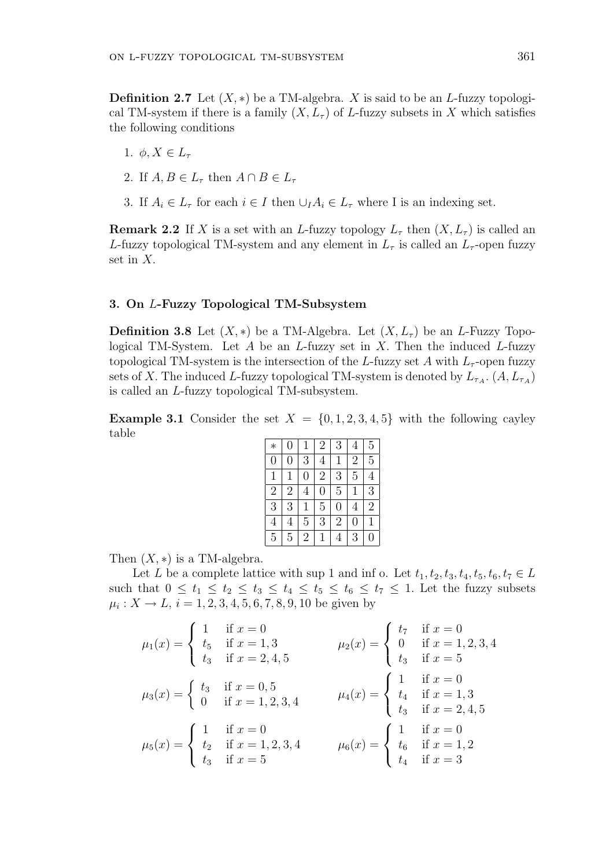**Definition 2.7** Let  $(X, *)$  be a TM-algebra. X is said to be an L-fuzzy topological TM-system if there is a family  $(X, L<sub>\tau</sub>)$  of L-fuzzy subsets in X which satisfies the following conditions

- 1.  $\phi, X \in L_{\tau}$
- 2. If  $A, B \in L_{\tau}$  then  $A \cap B \in L_{\tau}$
- 3. If  $A_i \in L_{\tau}$  for each  $i \in I$  then  $\cup_I A_i \in L_{\tau}$  where I is an indexing set.

**Remark 2.2** If X is a set with an L-fuzzy topology  $L_{\tau}$  then  $(X, L_{\tau})$  is called an L-fuzzy topological TM-system and any element in  $L_{\tau}$  is called an  $L_{\tau}$ -open fuzzy set in X.

#### 3. On L-Fuzzy Topological TM-Subsystem

**Definition 3.8** Let  $(X, *)$  be a TM-Algebra. Let  $(X, L_7)$  be an L-Fuzzy Topological TM-System. Let  $A$  be an  $L$ -fuzzy set in  $X$ . Then the induced  $L$ -fuzzy topological TM-system is the intersection of the L-fuzzy set A with  $L_{\tau}$ -open fuzzy sets of X. The induced L-fuzzy topological TM-system is denoted by  $L_{\tau_A}$ .  $(A, L_{\tau_A})$ is called an L-fuzzy topological TM-subsystem.

**Example 3.1** Consider the set  $X = \{0, 1, 2, 3, 4, 5\}$  with the following cayley table

| $\ast$         | $\overline{0}$ | 1              | $\overline{2}$ | 3              | $\overline{4}$ | $\overline{5}$ |
|----------------|----------------|----------------|----------------|----------------|----------------|----------------|
| $\overline{0}$ | $\overline{0}$ | 3              | 4              | 1              | $\overline{2}$ | 5              |
| $\mathbf{1}$   | 1              | $\overline{0}$ | $\overline{2}$ | 3              | $\overline{5}$ | 4              |
| $\overline{2}$ | $\overline{2}$ | $\overline{4}$ | $\overline{0}$ | $\overline{5}$ | 1              | $\overline{3}$ |
| $\overline{3}$ | 3              | 1              | $\overline{5}$ | $\overline{0}$ | $\overline{4}$ | $\overline{2}$ |
| $\overline{4}$ | 4              | 5              | 3              | $\overline{2}$ | $\overline{0}$ | 1              |
| $\overline{5}$ | 5              | $\overline{2}$ | 1              | 4              | 3              | 0              |

Then  $(X, *)$  is a TM-algebra.

Let L be a complete lattice with sup 1 and inf o. Let  $t_1, t_2, t_3, t_4, t_5, t_6, t_7 \in L$ such that  $0 \le t_1 \le t_2 \le t_3 \le t_4 \le t_5 \le t_6 \le t_7 \le 1$ . Let the fuzzy subsets  $\mu_i: X \to L, i = 1, 2, 3, 4, 5, 6, 7, 8, 9, 10$  be given by

$$
\mu_1(x) = \begin{cases}\n1 & \text{if } x = 0 \\
t_5 & \text{if } x = 1, 3 \\
t_3 & \text{if } x = 2, 4, 5\n\end{cases}
$$
\n
$$
\mu_2(x) = \begin{cases}\n1 & \text{if } x = 0 \\
0 & \text{if } x = 1, 2, 3, 4 \\
t_4 & \text{if } x = 1, 3\n\end{cases}
$$
\n
$$
\mu_3(x) = \begin{cases}\n1 & \text{if } x = 0 \\
0 & \text{if } x = 1, 2, 3, 4\n\end{cases}
$$
\n
$$
\mu_4(x) = \begin{cases}\n1 & \text{if } x = 0 \\
t_4 & \text{if } x = 1, 3 \\
t_3 & \text{if } x = 2, 4, 5\n\end{cases}
$$
\n
$$
\mu_5(x) = \begin{cases}\n1 & \text{if } x = 0 \\
t_2 & \text{if } x = 1, 2, 3, 4 \\
t_3 & \text{if } x = 5\n\end{cases}
$$
\n
$$
\mu_6(x) = \begin{cases}\n1 & \text{if } x = 0 \\
t_6 & \text{if } x = 1, 2 \\
t_4 & \text{if } x = 3\n\end{cases}
$$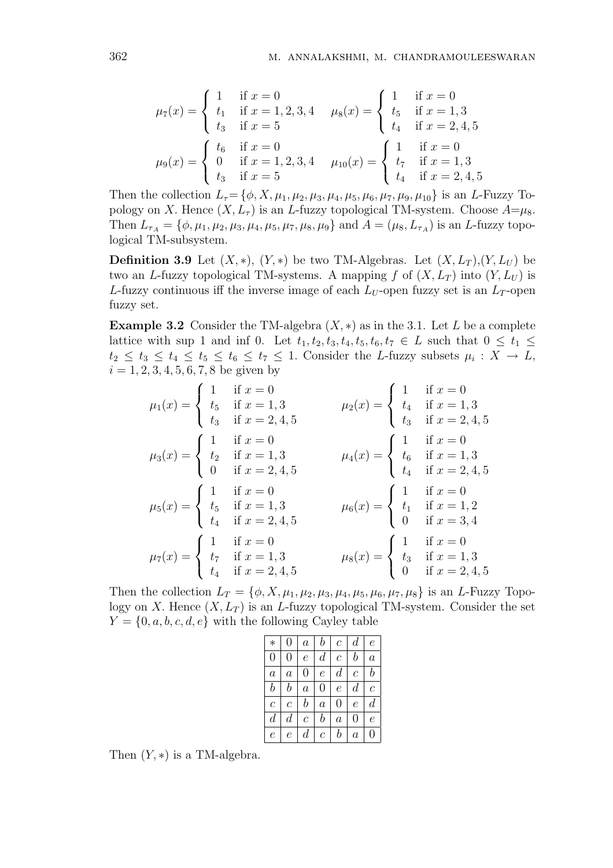$$
\mu_7(x) = \begin{cases}\n1 & \text{if } x = 0 \\
t_1 & \text{if } x = 1, 2, 3, 4 \\
t_3 & \text{if } x = 5\n\end{cases} \quad \mu_8(x) = \begin{cases}\n1 & \text{if } x = 0 \\
t_5 & \text{if } x = 1, 3 \\
t_4 & \text{if } x = 2, 4, 5\n\end{cases}
$$
\n
$$
\mu_9(x) = \begin{cases}\n t_6 & \text{if } x = 0 \\
 0 & \text{if } x = 1, 2, 3, 4 \\
 t_3 & \text{if } x = 5\n\end{cases} \quad \mu_{10}(x) = \begin{cases}\n1 & \text{if } x = 0 \\
 t_7 & \text{if } x = 1, 3 \\
 t_4 & \text{if } x = 2, 4, 5\n\end{cases}
$$

Then the collection  $L_7 = {\phi, X, \mu_1, \mu_2, \mu_3, \mu_4, \mu_5, \mu_6, \mu_7, \mu_9, \mu_{10}}$  is an L-Fuzzy Topology on X. Hence  $(X, L_{\tau})$  is an L-fuzzy topological TM-system. Choose  $A=\mu_8$ . Then  $L_{\tau_A} = \{\phi, \mu_1, \mu_2, \mu_3, \mu_4, \mu_5, \mu_7, \mu_8, \mu_9\}$  and  $A = (\mu_8, L_{\tau_A})$  is an *L*-fuzzy topological TM-subsystem.

**Definition 3.9** Let  $(X, *)$ ,  $(Y, *)$  be two TM-Algebras. Let  $(X, L_T), (Y, L_U)$  be two an L-fuzzy topological TM-systems. A mapping f of  $(X, L_T)$  into  $(Y, L_U)$  is L-fuzzy continuous iff the inverse image of each  $L_U$ -open fuzzy set is an  $L_T$ -open fuzzy set.

**Example 3.2** Consider the TM-algebra  $(X, *)$  as in the 3.1. Let L be a complete lattice with sup 1 and inf 0. Let  $t_1, t_2, t_3, t_4, t_5, t_6, t_7 \in L$  such that  $0 \leq t_1 \leq$  $t_2 \leq t_3 \leq t_4 \leq t_5 \leq t_6 \leq t_7 \leq 1$ . Consider the L-fuzzy subsets  $\mu_i: X \to L$ ,  $i = 1, 2, 3, 4, 5, 6, 7, 8$  be given by  $\cdot$  :  $\overline{ }$ 

$$
\mu_1(x) = \begin{cases}\n1 & \text{if } x = 0 \\
t_5 & \text{if } x = 1,3 \\
t_3 & \text{if } x = 2,4,5\n\end{cases} \qquad \mu_2(x) = \begin{cases}\n1 & \text{if } x = 0 \\
t_4 & \text{if } x = 1,3 \\
t_3 & \text{if } x = 2,4,5\n\end{cases}
$$
\n
$$
\mu_3(x) = \begin{cases}\n1 & \text{if } x = 0 \\
t_2 & \text{if } x = 1,3 \\
0 & \text{if } x = 2,4,5\n\end{cases} \qquad \mu_4(x) = \begin{cases}\n1 & \text{if } x = 0 \\
t_6 & \text{if } x = 1,3 \\
t_4 & \text{if } x = 2,4,5\n\end{cases}
$$
\n
$$
\mu_5(x) = \begin{cases}\n1 & \text{if } x = 0 \\
t_5 & \text{if } x = 1,3 \\
t_4 & \text{if } x = 2,4,5\n\end{cases} \qquad \mu_6(x) = \begin{cases}\n1 & \text{if } x = 0 \\
t_1 & \text{if } x = 1,2 \\
0 & \text{if } x = 3,4\n\end{cases}
$$
\n
$$
\mu_7(x) = \begin{cases}\n1 & \text{if } x = 0 \\
t_7 & \text{if } x = 1,3 \\
t_4 & \text{if } x = 2,4,5\n\end{cases} \qquad \mu_8(x) = \begin{cases}\n1 & \text{if } x = 0 \\
t_3 & \text{if } x = 1,3 \\
0 & \text{if } x = 2,4,5\n\end{cases}
$$

Then the collection  $L_T = \{\phi, X, \mu_1, \mu_2, \mu_3, \mu_4, \mu_5, \mu_6, \mu_7, \mu_8\}$  is an L-Fuzzy Topology on X. Hence  $(X, L_T)$  is an L-fuzzy topological TM-system. Consider the set  $Y = \{0, a, b, c, d, e\}$  with the following Cayley table

| $\ast$           | 0                | $\boldsymbol{a}$ | $\it b$          | $\mathcal{C}_{0}^{0}$ | $\,d$            | е                |
|------------------|------------------|------------------|------------------|-----------------------|------------------|------------------|
| $\overline{0}$   | 0                | $\epsilon$       | $\boldsymbol{d}$ | $\mathcal C$          | $_{b}$           | $\boldsymbol{a}$ |
| $\boldsymbol{a}$ | $\boldsymbol{a}$ | 0                | $\epsilon$       | $\boldsymbol{d}$      | $\overline{c}$   | $\boldsymbol{b}$ |
| $\dot{b}$        | b                | $\boldsymbol{a}$ | 0                | $\epsilon$            | $\,d$            | $\mathcal C$     |
| $\boldsymbol{c}$ | $\mathcal C$     | $\it b$          | $\boldsymbol{a}$ | 0                     | $\epsilon$       | $\,d$            |
| $\overline{d}$   | $\boldsymbol{d}$ | $\overline{c}$   | $\it b$          | $\boldsymbol{a}$      | 0                | е                |
| $\epsilon$       | е                | $\,d$            | $\mathcal C$     | b                     | $\boldsymbol{a}$ | 0                |

Then  $(Y, *)$  is a TM-algebra.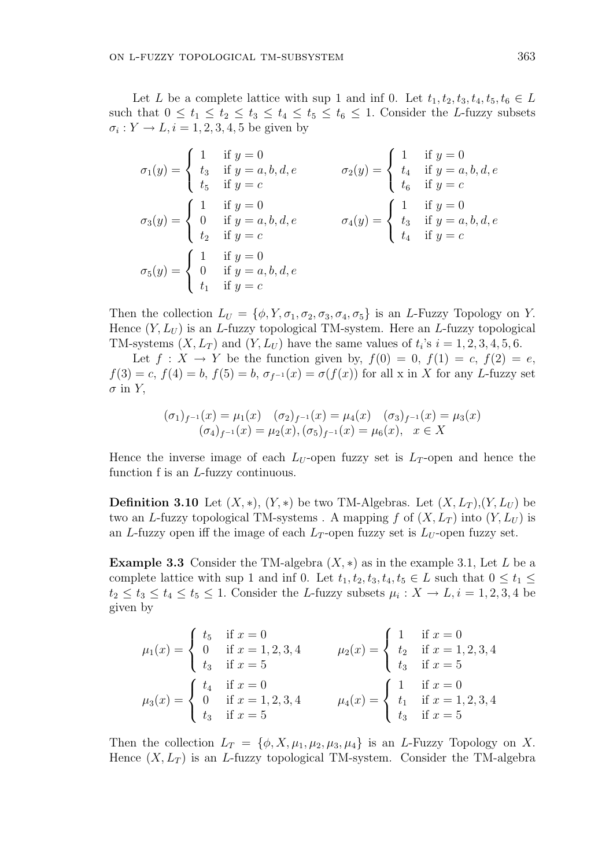Let L be a complete lattice with sup 1 and inf 0. Let  $t_1, t_2, t_3, t_4, t_5, t_6 \in L$ such that  $0 \le t_1 \le t_2 \le t_3 \le t_4 \le t_5 \le t_6 \le 1$ . Consider the L-fuzzy subsets  $\sigma_i: Y \to L, i = 1, 2, 3, 4, 5$  be given by

$$
\sigma_1(y) = \begin{cases}\n1 & \text{if } y = 0 \\
t_3 & \text{if } y = a, b, d, e \\
t_5 & \text{if } y = c\n\end{cases} \qquad \sigma_2(y) = \begin{cases}\n1 & \text{if } y = 0 \\
t_4 & \text{if } y = a, b, d, e \\
t_6 & \text{if } y = c\n\end{cases}
$$
\n
$$
\sigma_3(y) = \begin{cases}\n1 & \text{if } y = 0 \\
0 & \text{if } y = a, b, d, e \\
t_2 & \text{if } y = c\n\end{cases} \qquad \sigma_4(y) = \begin{cases}\n1 & \text{if } y = 0 \\
t_3 & \text{if } y = a, b, d, e \\
t_4 & \text{if } y = c\n\end{cases}
$$
\n
$$
\sigma_5(y) = \begin{cases}\n1 & \text{if } y = 0 \\
0 & \text{if } y = a, b, d, e \\
t_1 & \text{if } y = c\n\end{cases}
$$

Then the collection  $L_U = \{\phi, Y, \sigma_1, \sigma_2, \sigma_3, \sigma_4, \sigma_5\}$  is an L-Fuzzy Topology on Y. Hence  $(Y, L_U)$  is an L-fuzzy topological TM-system. Here an L-fuzzy topological TM-systems  $(X, L_T)$  and  $(Y, L_U)$  have the same values of  $t_i$ 's  $i = 1, 2, 3, 4, 5, 6$ .

Let  $f: X \to Y$  be the function given by,  $f(0) = 0$ ,  $f(1) = c$ ,  $f(2) = e$ ,  $f(3) = c$ ,  $f(4) = b$ ,  $f(5) = b$ ,  $\sigma_{f^{-1}}(x) = \sigma(f(x))$  for all x in X for any L-fuzzy set  $\sigma$  in Y,

$$
(\sigma_1)_{f^{-1}}(x) = \mu_1(x) \quad (\sigma_2)_{f^{-1}}(x) = \mu_4(x) \quad (\sigma_3)_{f^{-1}}(x) = \mu_3(x)
$$

$$
(\sigma_4)_{f^{-1}}(x) = \mu_2(x), (\sigma_5)_{f^{-1}}(x) = \mu_6(x), \quad x \in X
$$

Hence the inverse image of each  $L_U$ -open fuzzy set is  $L_T$ -open and hence the function f is an L-fuzzy continuous.

**Definition 3.10** Let  $(X, *)$ ,  $(Y, *)$  be two TM-Algebras. Let  $(X, L_T), (Y, L_U)$  be two an L-fuzzy topological TM-systems. A mapping f of  $(X, L_T)$  into  $(Y, L_U)$  is an L-fuzzy open iff the image of each  $L_T$ -open fuzzy set is  $L_U$ -open fuzzy set.

**Example 3.3** Consider the TM-algebra  $(X, *)$  as in the example 3.1, Let L be a complete lattice with sup 1 and inf 0. Let  $t_1, t_2, t_3, t_4, t_5 \in L$  such that  $0 \le t_1 \le$  $t_2 \leq t_3 \leq t_4 \leq t_5 \leq 1$ . Consider the L-fuzzy subsets  $\mu_i: X \to L, i = 1, 2, 3, 4$  be given by

$$
\mu_1(x) = \begin{cases} t_5 & \text{if } x = 0 \\ 0 & \text{if } x = 1, 2, 3, 4 \\ t_3 & \text{if } x = 5 \end{cases} \qquad \mu_2(x) = \begin{cases} 1 & \text{if } x = 0 \\ t_2 & \text{if } x = 1, 2, 3, 4 \\ t_3 & \text{if } x = 5 \end{cases}
$$

$$
\mu_3(x) = \begin{cases} t_4 & \text{if } x = 0 \\ 0 & \text{if } x = 1, 2, 3, 4 \\ t_3 & \text{if } x = 5 \end{cases} \qquad \mu_4(x) = \begin{cases} 1 & \text{if } x = 0 \\ t_1 & \text{if } x = 1, 2, 3, 4 \\ t_3 & \text{if } x = 5 \end{cases}
$$

Then the collection  $L_T = \{\phi, X, \mu_1, \mu_2, \mu_3, \mu_4\}$  is an L-Fuzzy Topology on X. Hence  $(X, L_T)$  is an L-fuzzy topological TM-system. Consider the TM-algebra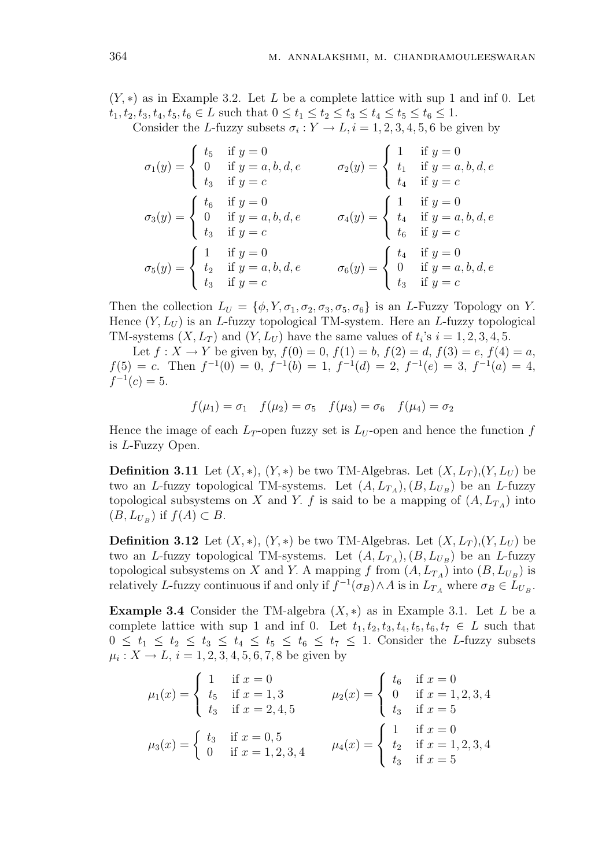$(Y, *)$  as in Example 3.2. Let L be a complete lattice with sup 1 and inf 0. Let  $t_1, t_2, t_3, t_4, t_5, t_6 \in L$  such that  $0 \le t_1 \le t_2 \le t_3 \le t_4 \le t_5 \le t_6 \le 1$ .

Consider the L-fuzzy subsets  $\sigma_i: Y \to L, i = 1, 2, 3, 4, 5, 6$  be given by

$$
\sigma_1(y) = \begin{cases}\nt_5 & \text{if } y = 0 \\
0 & \text{if } y = a, b, d, e \\
t_3 & \text{if } y = c\n\end{cases} \quad \sigma_2(y) = \begin{cases}\nt_1 & \text{if } y = 0 \\
t_1 & \text{if } y = a, b, d, e \\
t_4 & \text{if } y = c\n\end{cases}
$$
\n
$$
\sigma_3(y) = \begin{cases}\nt_6 & \text{if } y = 0 \\
0 & \text{if } y = a, b, d, e \\
t_3 & \text{if } y = c\n\end{cases} \quad \sigma_4(y) = \begin{cases}\n1 & \text{if } y = 0 \\
t_4 & \text{if } y = a, b, d, e \\
t_6 & \text{if } y = c\n\end{cases}
$$
\n
$$
\sigma_5(y) = \begin{cases}\n1 & \text{if } y = 0 \\
t_2 & \text{if } y = a, b, d, e \\
t_3 & \text{if } y = c\n\end{cases} \quad \sigma_6(y) = \begin{cases}\nt_4 & \text{if } y = 0 \\
0 & \text{if } y = a, b, d, e \\
t_3 & \text{if } y = c\n\end{cases}
$$

Then the collection  $L_U = \{\phi, Y, \sigma_1, \sigma_2, \sigma_3, \sigma_5, \sigma_6\}$  is an L-Fuzzy Topology on Y. Hence  $(Y, L_U)$  is an L-fuzzy topological TM-system. Here an L-fuzzy topological TM-systems  $(X, L_T)$  and  $(Y, L_U)$  have the same values of  $t_i$ 's  $i = 1, 2, 3, 4, 5$ .

Let  $f: X \to Y$  be given by,  $f(0) = 0$ ,  $f(1) = b$ ,  $f(2) = d$ ,  $f(3) = e$ ,  $f(4) = a$ ,  $f(5) = c$ . Then  $f^{-1}(0) = 0$ ,  $f^{-1}(b) = 1$ ,  $f^{-1}(d) = 2$ ,  $f^{-1}(e) = 3$ ,  $f^{-1}(a) = 4$ ,  $f^{-1}(c) = 5.$ 

$$
f(\mu_1) = \sigma_1
$$
  $f(\mu_2) = \sigma_5$   $f(\mu_3) = \sigma_6$   $f(\mu_4) = \sigma_2$ 

Hence the image of each  $L_T$ -open fuzzy set is  $L_U$ -open and hence the function f is L-Fuzzy Open.

**Definition 3.11** Let  $(X, *)$ ,  $(Y, *)$  be two TM-Algebras. Let  $(X, L_T), (Y, L_U)$  be two an L-fuzzy topological TM-systems. Let  $(A, L_{T_A}), (B, L_{U_B})$  be an L-fuzzy topological subsystems on X and Y. f is said to be a mapping of  $(A, L_{T_A})$  into  $(B, L_{U_B})$  if  $f(A) \subset B$ .

**Definition 3.12** Let  $(X, *)$ ,  $(Y, *)$  be two TM-Algebras. Let  $(X, L_T), (Y, L_U)$  be two an L-fuzzy topological TM-systems. Let  $(A, L_{T_A}), (B, L_{U_B})$  be an L-fuzzy topological subsystems on X and Y. A mapping f from  $(A, L_{T_A})$  into  $(B, L_{U_B})$  is relatively L-fuzzy continuous if and only if  $f^{-1}(\sigma_B) \wedge A$  is in  $L_{T_A}$  where  $\sigma_B \in L_{U_B}$ .

**Example 3.4** Consider the TM-algebra  $(X, *)$  as in Example 3.1. Let L be a complete lattice with sup 1 and inf 0. Let  $t_1, t_2, t_3, t_4, t_5, t_6, t_7 \in L$  such that  $0 \leq t_1 \leq t_2 \leq t_3 \leq t_4 \leq t_5 \leq t_6 \leq t_7 \leq 1$ . Consider the L-fuzzy subsets  $\mu_i: X \to L, i = 1, 2, 3, 4, 5, 6, 7, 8$  be given by

$$
\mu_1(x) = \begin{cases}\n1 & \text{if } x = 0 \\
t_5 & \text{if } x = 1, 3 \\
t_3 & \text{if } x = 2, 4, 5\n\end{cases} \qquad \mu_2(x) = \begin{cases}\n t_6 & \text{if } x = 0 \\
0 & \text{if } x = 1, 2, 3, 4 \\
t_3 & \text{if } x = 5\n\end{cases}
$$
\n
$$
\mu_3(x) = \begin{cases}\n t_3 & \text{if } x = 0, 5 \\
0 & \text{if } x = 1, 2, 3, 4 \\
\text{if } x = 1, 2, 3, 4\n\end{cases} \qquad \mu_4(x) = \begin{cases}\n1 & \text{if } x = 0 \\
t_2 & \text{if } x = 1, 2, 3, 4 \\
t_3 & \text{if } x = 5\n\end{cases}
$$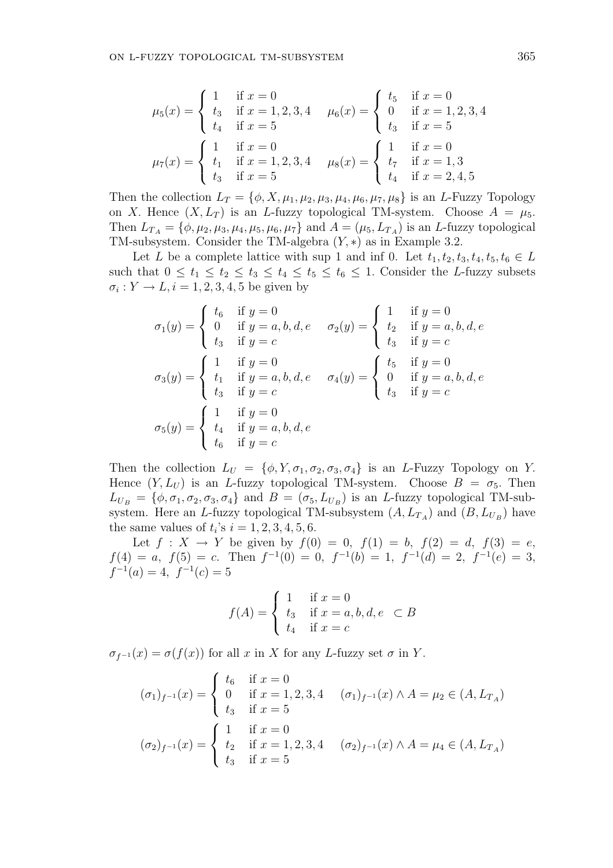$$
\mu_5(x) = \begin{cases}\n1 & \text{if } x = 0 \\
t_3 & \text{if } x = 1, 2, 3, 4 \\
t_4 & \text{if } x = 5\n\end{cases} \quad \mu_6(x) = \begin{cases}\n t_5 & \text{if } x = 0 \\
0 & \text{if } x = 1, 2, 3, 4 \\
t_3 & \text{if } x = 5\n\end{cases}
$$
\n
$$
\mu_7(x) = \begin{cases}\n1 & \text{if } x = 0 \\
t_1 & \text{if } x = 1, 2, 3, 4 \\
t_3 & \text{if } x = 5\n\end{cases} \quad \mu_8(x) = \begin{cases}\n1 & \text{if } x = 0 \\
t_7 & \text{if } x = 1, 3 \\
t_4 & \text{if } x = 2, 4, 5\n\end{cases}
$$

Then the collection  $L_T = {\phi, X, \mu_1, \mu_2, \mu_3, \mu_4, \mu_6, \mu_7, \mu_8}$  is an L-Fuzzy Topology on X. Hence  $(X, L_T)$  is an L-fuzzy topological TM-system. Choose  $A = \mu_5$ . Then  $L_{T_A} = \{\phi, \mu_2, \mu_3, \mu_4, \mu_5, \mu_6, \mu_7\}$  and  $A = (\mu_5, L_{T_A})$  is an *L*-fuzzy topological TM-subsystem. Consider the TM-algebra  $(Y, *)$  as in Example 3.2.

Let L be a complete lattice with sup 1 and inf 0. Let  $t_1, t_2, t_3, t_4, t_5, t_6 \in L$ such that  $0 \le t_1 \le t_2 \le t_3 \le t_4 \le t_5 \le t_6 \le 1$ . Consider the L-fuzzy subsets  $\sigma_i: Y \to L, i = 1, 2, 3, 4, 5$  be given by

$$
\sigma_1(y) = \begin{cases}\n t_6 & \text{if } y = 0 \\
 0 & \text{if } y = a, b, d, e \\
 t_3 & \text{if } y = c\n\end{cases} \quad \sigma_2(y) = \begin{cases}\n 1 & \text{if } y = 0 \\
 t_2 & \text{if } y = a, b, d, e \\
 t_3 & \text{if } y = c\n\end{cases}
$$
\n
$$
\sigma_3(y) = \begin{cases}\n 1 & \text{if } y = 0 \\
 t_1 & \text{if } y = a, b, d, e \\
 t_3 & \text{if } y = c\n\end{cases} \quad \sigma_4(y) = \begin{cases}\n t_5 & \text{if } y = 0 \\
 0 & \text{if } y = a, b, d, e \\
 t_3 & \text{if } y = c\n\end{cases}
$$
\n
$$
\sigma_5(y) = \begin{cases}\n 1 & \text{if } y = 0 \\
 t_4 & \text{if } y = a, b, d, e \\
 t_6 & \text{if } y = c\n\end{cases}
$$

Then the collection  $L_U = \{\phi, Y, \sigma_1, \sigma_2, \sigma_3, \sigma_4\}$  is an *L*-Fuzzy Topology on Y. Hence  $(Y, L_U)$  is an L-fuzzy topological TM-system. Choose  $B = \sigma_5$ . Then  $L_{U_B} = \{\phi, \sigma_1, \sigma_2, \sigma_3, \sigma_4\}$  and  $B = (\sigma_5, L_{U_B})$  is an *L*-fuzzy topological TM-subsystem. Here an L-fuzzy topological TM-subsystem  $(A, L_{T_A})$  and  $(B, L_{U_B})$  have the same values of  $t_i$ 's  $i = 1, 2, 3, 4, 5, 6$ .

Let  $f: X \to Y$  be given by  $f(0) = 0$ ,  $f(1) = b$ ,  $f(2) = d$ ,  $f(3) = e$ ,  $f(4) = a, f(5) = c.$  Then  $f^{-1}(0) = 0, f^{-1}(b) = 1, f^{-1}(d) = 2, f^{-1}(e) = 3,$  $f^{-1}(a) = 4, f^{-1}(c) = 5$ 

$$
f(A) = \begin{cases} 1 & \text{if } x = 0 \\ t_3 & \text{if } x = a, b, d, e \\ t_4 & \text{if } x = c \end{cases}
$$

 $\sigma_{f^{-1}}(x) = \sigma(f(x))$  for all x in X for any L-fuzzy set  $\sigma$  in Y.

$$
(\sigma_1)_{f^{-1}}(x) = \begin{cases} t_6 & \text{if } x = 0\\ 0 & \text{if } x = 1, 2, 3, 4\\ t_3 & \text{if } x = 5 \end{cases} \quad (\sigma_1)_{f^{-1}}(x) \wedge A = \mu_2 \in (A, L_{T_A})
$$

$$
(\sigma_2)_{f^{-1}}(x) = \begin{cases} 1 & \text{if } x = 0\\ t_2 & \text{if } x = 1, 2, 3, 4\\ t_3 & \text{if } x = 5 \end{cases} \quad (\sigma_2)_{f^{-1}}(x) \wedge A = \mu_4 \in (A, L_{T_A})
$$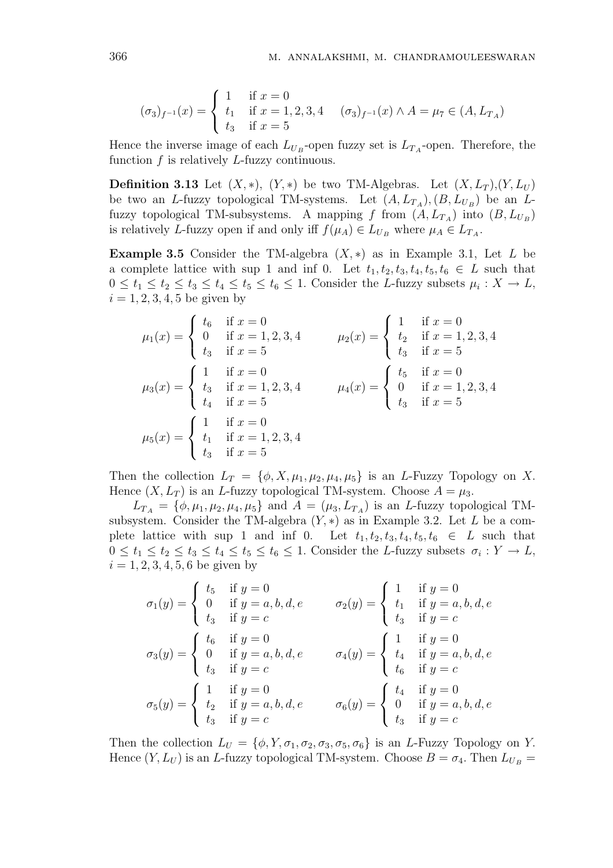$$
(\sigma_3)_{f^{-1}}(x) = \begin{cases} 1 & \text{if } x = 0\\ t_1 & \text{if } x = 1, 2, 3, 4\\ t_3 & \text{if } x = 5 \end{cases} \quad (\sigma_3)_{f^{-1}}(x) \wedge A = \mu_7 \in (A, L_{T_A})
$$

Hence the inverse image of each  $L_{U_B}$ -open fuzzy set is  $L_{T_A}$ -open. Therefore, the function  $f$  is relatively  $L$ -fuzzy continuous.

**Definition 3.13** Let  $(X, *)$ ,  $(Y, *)$  be two TM-Algebras. Let  $(X, L_T), (Y, L_U)$ be two an L-fuzzy topological TM-systems. Let  $(A, L_{T_A}), (B, L_{U_B})$  be an Lfuzzy topological TM-subsystems. A mapping f from  $(A, L_{T_A})$  into  $(B, L_{U_B})$ is relatively L-fuzzy open if and only iff  $f(\mu_A) \in L_{U_B}$  where  $\mu_A \in L_{T_A}$ .

Example 3.5 Consider the TM-algebra  $(X, *)$  as in Example 3.1, Let L be a complete lattice with sup 1 and inf 0. Let  $t_1, t_2, t_3, t_4, t_5, t_6 \in L$  such that  $0 \leq t_1 \leq t_2 \leq t_3 \leq t_4 \leq t_5 \leq t_6 \leq 1$ . Consider the L-fuzzy subsets  $\mu_i: X \to L$ ,  $i = 1, 2, 3, 4, 5$  be given by

$$
\mu_1(x) = \begin{cases}\n t_6 & \text{if } x = 0 \\
 0 & \text{if } x = 1, 2, 3, 4 \\
 t_3 & \text{if } x = 5\n\end{cases}\n\qquad\n\mu_2(x) = \begin{cases}\n 1 & \text{if } x = 0 \\
 t_2 & \text{if } x = 1, 2, 3, 4 \\
 t_3 & \text{if } x = 5\n\end{cases}
$$
\n
$$
\mu_3(x) = \begin{cases}\n 1 & \text{if } x = 0 \\
 t_3 & \text{if } x = 1, 2, 3, 4 \\
 t_4 & \text{if } x = 5\n\end{cases}\n\qquad\n\mu_4(x) = \begin{cases}\n t_5 & \text{if } x = 0 \\
 0 & \text{if } x = 1, 2, 3, 4 \\
 t_3 & \text{if } x = 5\n\end{cases}
$$
\n
$$
\mu_5(x) = \begin{cases}\n 1 & \text{if } x = 0 \\
 t_1 & \text{if } x = 1, 2, 3, 4 \\
 t_3 & \text{if } x = 5\n\end{cases}
$$

Then the collection  $L_T = \{\phi, X, \mu_1, \mu_2, \mu_4, \mu_5\}$  is an L-Fuzzy Topology on X. Hence  $(X, L_T)$  is an L-fuzzy topological TM-system. Choose  $A = \mu_3$ .

 $L_{T_A} = \{\phi, \mu_1, \mu_2, \mu_4, \mu_5\}$  and  $A = (\mu_3, L_{T_A})$  is an L-fuzzy topological TMsubsystem. Consider the TM-algebra  $(Y, *)$  as in Example 3.2. Let L be a complete lattice with sup 1 and inf 0. Let  $t_1, t_2, t_3, t_4, t_5, t_6 \in L$  such that  $0 \leq t_1 \leq t_2 \leq t_3 \leq t_4 \leq t_5 \leq t_6 \leq 1$ . Consider the L-fuzzy subsets  $\sigma_i: Y \to L$ ,  $i = 1, 2, 3, 4, 5, 6$  be given by

$$
\sigma_1(y) = \begin{cases}\nt_5 & \text{if } y = 0 \\
0 & \text{if } y = a, b, d, e \\
t_3 & \text{if } y = c\n\end{cases} \quad \sigma_2(y) = \begin{cases}\nt_1 & \text{if } y = 0 \\
t_1 & \text{if } y = a, b, d, e \\
t_3 & \text{if } y = c\n\end{cases}
$$
\n
$$
\sigma_3(y) = \begin{cases}\nt_6 & \text{if } y = 0 \\
0 & \text{if } y = a, b, d, e \\
t_3 & \text{if } y = c\n\end{cases} \quad \sigma_4(y) = \begin{cases}\n1 & \text{if } y = 0 \\
t_4 & \text{if } y = a, b, d, e \\
t_6 & \text{if } y = c\n\end{cases}
$$
\n
$$
\sigma_5(y) = \begin{cases}\n1 & \text{if } y = 0 \\
t_2 & \text{if } y = a, b, d, e \\
t_3 & \text{if } y = c\n\end{cases} \quad \sigma_6(y) = \begin{cases}\nt_4 & \text{if } y = 0 \\
0 & \text{if } y = a, b, d, e \\
t_3 & \text{if } y = c\n\end{cases}
$$

Then the collection  $L_U = \{\phi, Y, \sigma_1, \sigma_2, \sigma_3, \sigma_5, \sigma_6\}$  is an L-Fuzzy Topology on Y. Hence  $(Y, L_U)$  is an L-fuzzy topological TM-system. Choose  $B = \sigma_4$ . Then  $L_{U_B} =$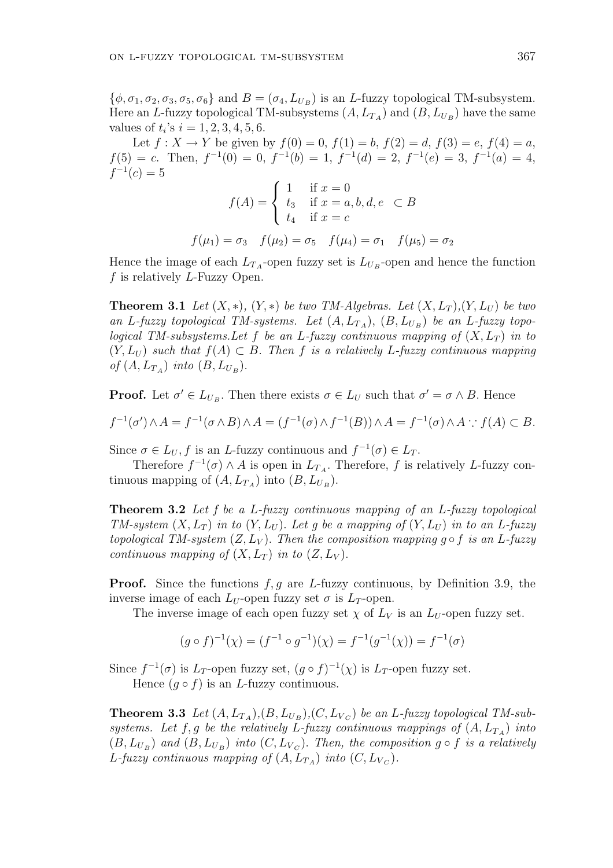$\{\phi, \sigma_1, \sigma_2, \sigma_3, \sigma_5, \sigma_6\}$  and  $B = (\sigma_4, L_{U_B})$  is an *L*-fuzzy topological TM-subsystem. Here an L-fuzzy topological TM-subsystems  $(A, L_{T_A})$  and  $(B, L_{U_B})$  have the same values of  $t_i$ 's  $i = 1, 2, 3, 4, 5, 6$ .

Let  $f: X \to Y$  be given by  $f(0) = 0$ ,  $f(1) = b$ ,  $f(2) = d$ ,  $f(3) = e$ ,  $f(4) = a$ ,  $f(5) = c$ . Then,  $f^{-1}(0) = 0$ ,  $f^{-1}(b) = 1$ ,  $f^{-1}(d) = 2$ ,  $f^{-1}(e) = 3$ ,  $f^{-1}(a) = 4$ ,  $f^{-1}(c) = 5$  $\overline{a}$ 

$$
f(A) = \begin{cases} 1 & \text{if } x = 0 \\ t_3 & \text{if } x = a, b, d, e \subset B \\ t_4 & \text{if } x = c \end{cases}
$$

$$
f(\mu_1) = \sigma_3 \quad f(\mu_2) = \sigma_5 \quad f(\mu_4) = \sigma_1 \quad f(\mu_5) = \sigma_2
$$

Hence the image of each  $L_{T_A}$ -open fuzzy set is  $L_{U_B}$ -open and hence the function  $f$  is relatively  $L$ -Fuzzy Open.

**Theorem 3.1** Let  $(X, *)$ ,  $(Y, *)$  be two TM-Algebras. Let  $(X, L_T), (Y, L_U)$  be two an L-fuzzy topological TM-systems. Let  $(A, L_{T_A})$ ,  $(B, L_{U_B})$  be an L-fuzzy topological TM-subsystems. Let f be an L-fuzzy continuous mapping of  $(X, L_T)$  in to  $(Y, L_U)$  such that  $f(A) \subset B$ . Then f is a relatively L-fuzzy continuous mapping of  $(A, L_{T_A})$  into  $(B, L_{U_B})$ .

**Proof.** Let  $\sigma' \in L_{U_B}$ . Then there exists  $\sigma \in L_U$  such that  $\sigma' = \sigma \wedge B$ . Hence

$$
f^{-1}(\sigma') \wedge A = f^{-1}(\sigma \wedge B) \wedge A = (f^{-1}(\sigma) \wedge f^{-1}(B)) \wedge A = f^{-1}(\sigma) \wedge A : f(A) \subset B.
$$

Since  $\sigma \in L_U$ , f is an L-fuzzy continuous and  $f^{-1}(\sigma) \in L_T$ .

Therefore  $f^{-1}(\sigma) \wedge A$  is open in  $L_{T_A}$ . Therefore, f is relatively L-fuzzy continuous mapping of  $(A, L_{T_A})$  into  $(B, L_{U_B})$ .

Theorem 3.2 Let f be a L-fuzzy continuous mapping of an L-fuzzy topological TM-system  $(X, L_T)$  in to  $(Y, L_U)$ . Let g be a mapping of  $(Y, L_U)$  in to an L-fuzzy topological TM-system  $(Z, L_V)$ . Then the composition mapping g  $\circ$  f is an L-fuzzy continuous mapping of  $(X, L_T)$  in to  $(Z, L_V)$ .

**Proof.** Since the functions  $f, g$  are L-fuzzy continuous, by Definition 3.9, the inverse image of each  $L_U$ -open fuzzy set  $\sigma$  is  $L_T$ -open.

The inverse image of each open fuzzy set  $\chi$  of  $L_V$  is an  $L_U$ -open fuzzy set.

$$
(g \circ f)^{-1}(\chi) = (f^{-1} \circ g^{-1})(\chi) = f^{-1}(g^{-1}(\chi)) = f^{-1}(\sigma)
$$

Since  $f^{-1}(\sigma)$  is  $L_T$ -open fuzzy set,  $(g \circ f)^{-1}(\chi)$  is  $L_T$ -open fuzzy set.

Hence  $(g \circ f)$  is an *L*-fuzzy continuous.

**Theorem 3.3** Let  $(A, L_{T_A}), (B, L_{U_B}), (C, L_{V_C})$  be an L-fuzzy topological TM-subsystems. Let f, g be the relatively L-fuzzy continuous mappings of  $(A, L_{T_A})$  into  $(B, L_{U_B})$  and  $(B, L_{U_B})$  into  $(C, L_{V_C})$ . Then, the composition  $g \circ f$  is a relatively L-fuzzy continuous mapping of  $(A, L_{T_A})$  into  $(C, L_{V_C})$ .